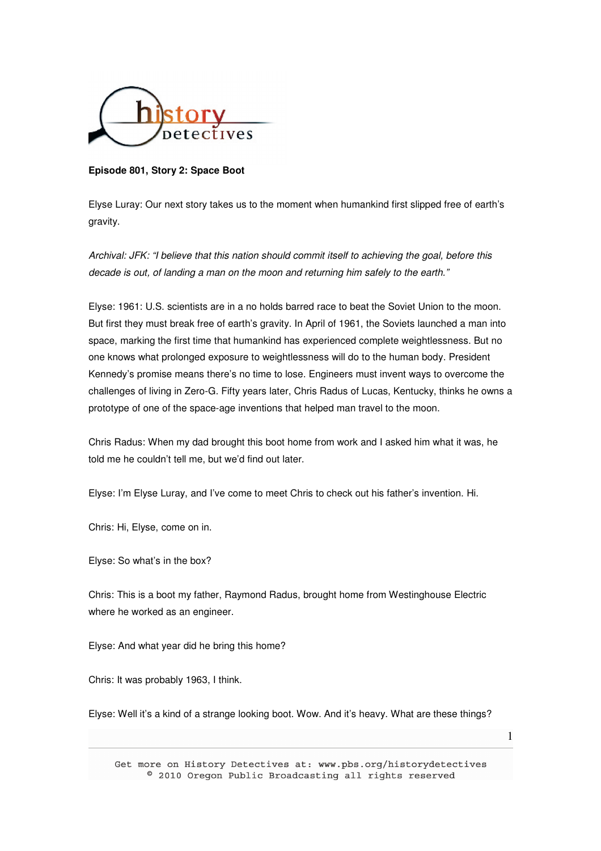

**Episode 801, Story 2: Space Boot** 

Elyse Luray: Our next story takes us to the moment when humankind first slipped free of earth's gravity.

Archival: JFK: "I believe that this nation should commit itself to achieving the goal, before this decade is out, of landing a man on the moon and returning him safely to the earth."

Elyse: 1961: U.S. scientists are in a no holds barred race to beat the Soviet Union to the moon. But first they must break free of earth's gravity. In April of 1961, the Soviets launched a man into space, marking the first time that humankind has experienced complete weightlessness. But no one knows what prolonged exposure to weightlessness will do to the human body. President Kennedy's promise means there's no time to lose. Engineers must invent ways to overcome the challenges of living in Zero-G. Fifty years later, Chris Radus of Lucas, Kentucky, thinks he owns a prototype of one of the space-age inventions that helped man travel to the moon.

Chris Radus: When my dad brought this boot home from work and I asked him what it was, he told me he couldn't tell me, but we'd find out later.

Elyse: I'm Elyse Luray, and I've come to meet Chris to check out his father's invention. Hi.

Chris: Hi, Elyse, come on in.

Elyse: So what's in the box?

Chris: This is a boot my father, Raymond Radus, brought home from Westinghouse Electric where he worked as an engineer.

Elyse: And what year did he bring this home?

Chris: It was probably 1963, I think.

Elyse: Well it's a kind of a strange looking boot. Wow. And it's heavy. What are these things?

Get more on History Detectives at: www.pbs.org/historydetectives  $^{\circ}$  2010 Oregon Public Broadcasting all rights reserved

1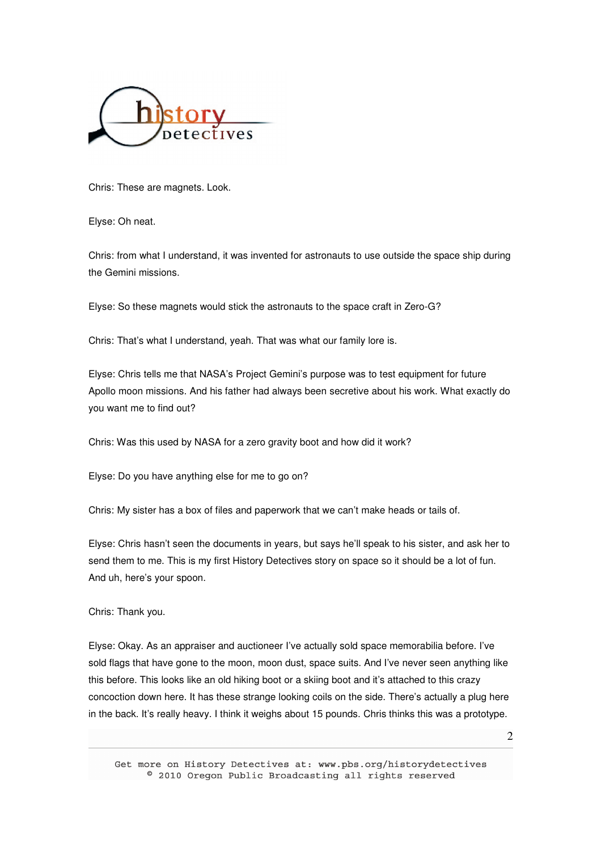

Chris: These are magnets. Look.

Elyse: Oh neat.

Chris: from what I understand, it was invented for astronauts to use outside the space ship during the Gemini missions.

Elyse: So these magnets would stick the astronauts to the space craft in Zero-G?

Chris: That's what I understand, yeah. That was what our family lore is.

Elyse: Chris tells me that NASA's Project Gemini's purpose was to test equipment for future Apollo moon missions. And his father had always been secretive about his work. What exactly do you want me to find out?

Chris: Was this used by NASA for a zero gravity boot and how did it work?

Elyse: Do you have anything else for me to go on?

Chris: My sister has a box of files and paperwork that we can't make heads or tails of.

Elyse: Chris hasn't seen the documents in years, but says he'll speak to his sister, and ask her to send them to me. This is my first History Detectives story on space so it should be a lot of fun. And uh, here's your spoon.

Chris: Thank you.

Elyse: Okay. As an appraiser and auctioneer I've actually sold space memorabilia before. I've sold flags that have gone to the moon, moon dust, space suits. And I've never seen anything like this before. This looks like an old hiking boot or a skiing boot and it's attached to this crazy concoction down here. It has these strange looking coils on the side. There's actually a plug here in the back. It's really heavy. I think it weighs about 15 pounds. Chris thinks this was a prototype.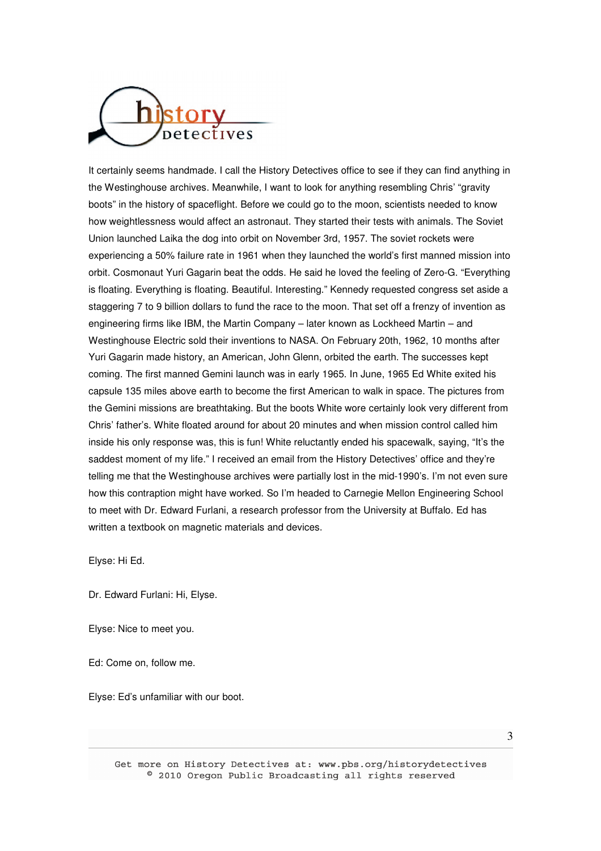

It certainly seems handmade. I call the History Detectives office to see if they can find anything in the Westinghouse archives. Meanwhile, I want to look for anything resembling Chris' "gravity boots" in the history of spaceflight. Before we could go to the moon, scientists needed to know how weightlessness would affect an astronaut. They started their tests with animals. The Soviet Union launched Laika the dog into orbit on November 3rd, 1957. The soviet rockets were experiencing a 50% failure rate in 1961 when they launched the world's first manned mission into orbit. Cosmonaut Yuri Gagarin beat the odds. He said he loved the feeling of Zero-G. "Everything is floating. Everything is floating. Beautiful. Interesting." Kennedy requested congress set aside a staggering 7 to 9 billion dollars to fund the race to the moon. That set off a frenzy of invention as engineering firms like IBM, the Martin Company – later known as Lockheed Martin – and Westinghouse Electric sold their inventions to NASA. On February 20th, 1962, 10 months after Yuri Gagarin made history, an American, John Glenn, orbited the earth. The successes kept coming. The first manned Gemini launch was in early 1965. In June, 1965 Ed White exited his capsule 135 miles above earth to become the first American to walk in space. The pictures from the Gemini missions are breathtaking. But the boots White wore certainly look very different from Chris' father's. White floated around for about 20 minutes and when mission control called him inside his only response was, this is fun! White reluctantly ended his spacewalk, saying, "It's the saddest moment of my life." I received an email from the History Detectives' office and they're telling me that the Westinghouse archives were partially lost in the mid-1990's. I'm not even sure how this contraption might have worked. So I'm headed to Carnegie Mellon Engineering School to meet with Dr. Edward Furlani, a research professor from the University at Buffalo. Ed has written a textbook on magnetic materials and devices.

Elyse: Hi Ed.

Dr. Edward Furlani: Hi, Elyse.

Elyse: Nice to meet you.

Ed: Come on, follow me.

Elyse: Ed's unfamiliar with our boot.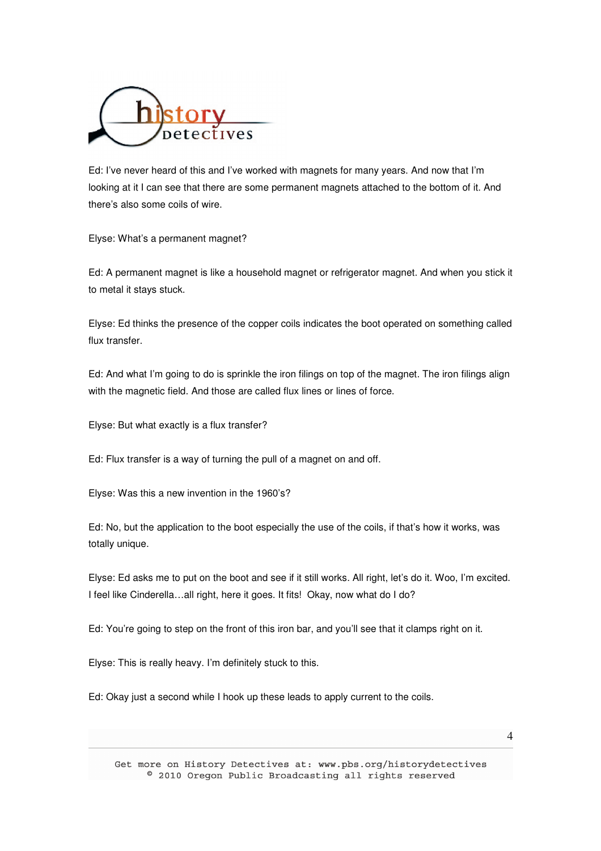

Ed: I've never heard of this and I've worked with magnets for many years. And now that I'm looking at it I can see that there are some permanent magnets attached to the bottom of it. And there's also some coils of wire.

Elyse: What's a permanent magnet?

Ed: A permanent magnet is like a household magnet or refrigerator magnet. And when you stick it to metal it stays stuck.

Elyse: Ed thinks the presence of the copper coils indicates the boot operated on something called flux transfer.

Ed: And what I'm going to do is sprinkle the iron filings on top of the magnet. The iron filings align with the magnetic field. And those are called flux lines or lines of force.

Elyse: But what exactly is a flux transfer?

Ed: Flux transfer is a way of turning the pull of a magnet on and off.

Elyse: Was this a new invention in the 1960's?

Ed: No, but the application to the boot especially the use of the coils, if that's how it works, was totally unique.

Elyse: Ed asks me to put on the boot and see if it still works. All right, let's do it. Woo, I'm excited. I feel like Cinderella…all right, here it goes. It fits! Okay, now what do I do?

Ed: You're going to step on the front of this iron bar, and you'll see that it clamps right on it.

Elyse: This is really heavy. I'm definitely stuck to this.

Ed: Okay just a second while I hook up these leads to apply current to the coils.

4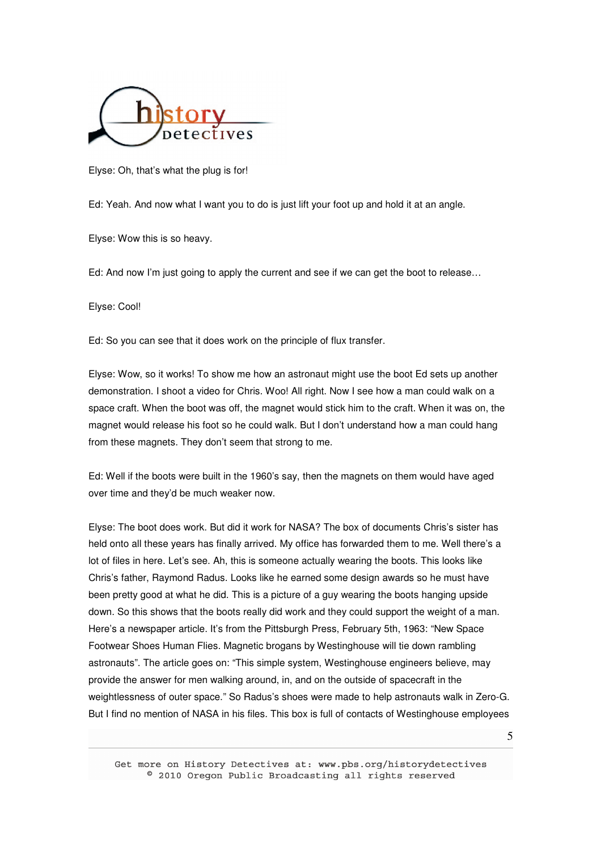

Elyse: Oh, that's what the plug is for!

Ed: Yeah. And now what I want you to do is just lift your foot up and hold it at an angle.

Elyse: Wow this is so heavy.

Ed: And now I'm just going to apply the current and see if we can get the boot to release…

Elyse: Cool!

Ed: So you can see that it does work on the principle of flux transfer.

Elyse: Wow, so it works! To show me how an astronaut might use the boot Ed sets up another demonstration. I shoot a video for Chris. Woo! All right. Now I see how a man could walk on a space craft. When the boot was off, the magnet would stick him to the craft. When it was on, the magnet would release his foot so he could walk. But I don't understand how a man could hang from these magnets. They don't seem that strong to me.

Ed: Well if the boots were built in the 1960's say, then the magnets on them would have aged over time and they'd be much weaker now.

Elyse: The boot does work. But did it work for NASA? The box of documents Chris's sister has held onto all these years has finally arrived. My office has forwarded them to me. Well there's a lot of files in here. Let's see. Ah, this is someone actually wearing the boots. This looks like Chris's father, Raymond Radus. Looks like he earned some design awards so he must have been pretty good at what he did. This is a picture of a guy wearing the boots hanging upside down. So this shows that the boots really did work and they could support the weight of a man. Here's a newspaper article. It's from the Pittsburgh Press, February 5th, 1963: "New Space Footwear Shoes Human Flies. Magnetic brogans by Westinghouse will tie down rambling astronauts". The article goes on: "This simple system, Westinghouse engineers believe, may provide the answer for men walking around, in, and on the outside of spacecraft in the weightlessness of outer space." So Radus's shoes were made to help astronauts walk in Zero-G. But I find no mention of NASA in his files. This box is full of contacts of Westinghouse employees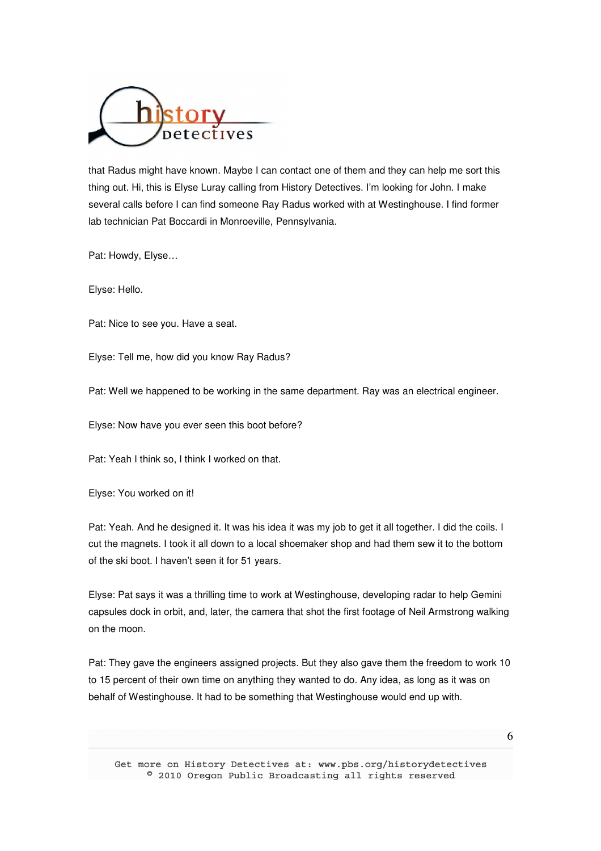

that Radus might have known. Maybe I can contact one of them and they can help me sort this thing out. Hi, this is Elyse Luray calling from History Detectives. I'm looking for John. I make several calls before I can find someone Ray Radus worked with at Westinghouse. I find former lab technician Pat Boccardi in Monroeville, Pennsylvania.

Pat: Howdy, Elyse…

Elyse: Hello.

Pat: Nice to see you. Have a seat.

Elyse: Tell me, how did you know Ray Radus?

Pat: Well we happened to be working in the same department. Ray was an electrical engineer.

Elyse: Now have you ever seen this boot before?

Pat: Yeah I think so, I think I worked on that.

Elyse: You worked on it!

Pat: Yeah. And he designed it. It was his idea it was my job to get it all together. I did the coils. I cut the magnets. I took it all down to a local shoemaker shop and had them sew it to the bottom of the ski boot. I haven't seen it for 51 years.

Elyse: Pat says it was a thrilling time to work at Westinghouse, developing radar to help Gemini capsules dock in orbit, and, later, the camera that shot the first footage of Neil Armstrong walking on the moon.

Pat: They gave the engineers assigned projects. But they also gave them the freedom to work 10 to 15 percent of their own time on anything they wanted to do. Any idea, as long as it was on behalf of Westinghouse. It had to be something that Westinghouse would end up with.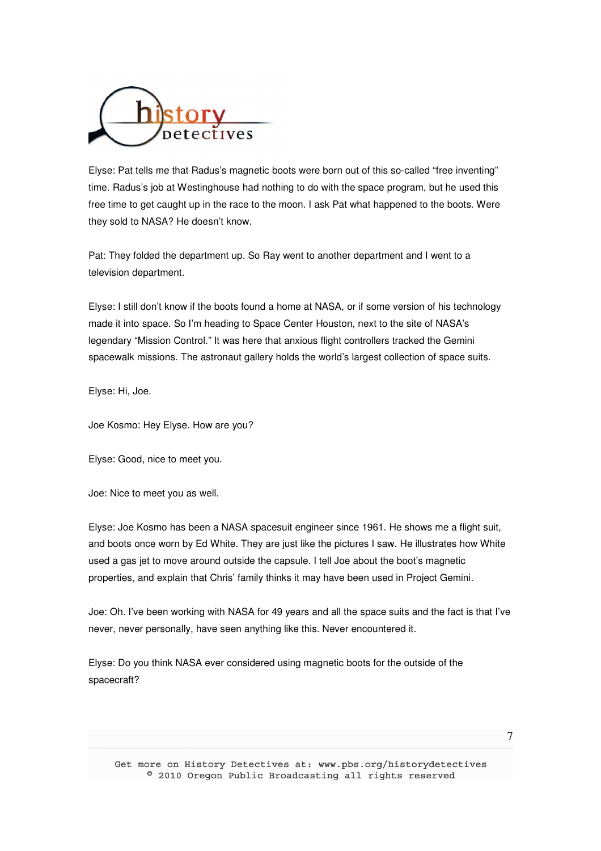

Elyse: Pat tells me that Radus's magnetic boots were born out of this so-called "free inventing" time. Radus's job at Westinghouse had nothing to do with the space program, but he used this free time to get caught up in the race to the moon. I ask Pat what happened to the boots. Were they sold to NASA? He doesn't know.

Pat: They folded the department up. So Ray went to another department and I went to a television department.

Elyse: I still don't know if the boots found a home at NASA, or if some version of his technology made it into space. So I'm heading to Space Center Houston, next to the site of NASA's legendary "Mission Control." It was here that anxious flight controllers tracked the Gemini spacewalk missions. The astronaut gallery holds the world's largest collection of space suits.

Elyse: Hi, Joe.

Joe Kosmo: Hey Elyse. How are you?

Elyse: Good, nice to meet you.

Joe: Nice to meet you as well.

Elyse: Joe Kosmo has been a NASA spacesuit engineer since 1961. He shows me a flight suit, and boots once worn by Ed White. They are just like the pictures I saw. He illustrates how White used a gas jet to move around outside the capsule. I tell Joe about the boot's magnetic properties, and explain that Chris' family thinks it may have been used in Project Gemini.

Joe: Oh. I've been working with NASA for 49 years and all the space suits and the fact is that I've never, never personally, have seen anything like this. Never encountered it.

Elyse: Do you think NASA ever considered using magnetic boots for the outside of the spacecraft?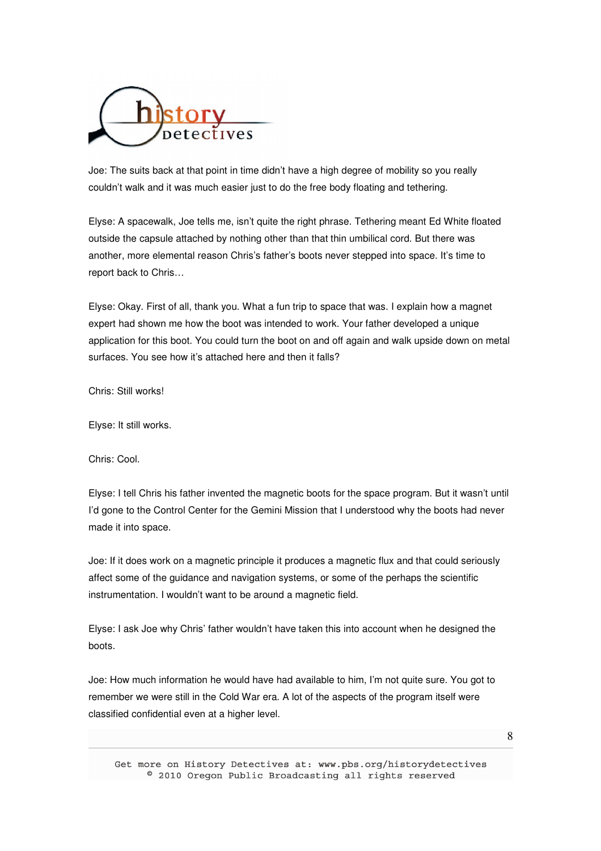

Joe: The suits back at that point in time didn't have a high degree of mobility so you really couldn't walk and it was much easier just to do the free body floating and tethering.

Elyse: A spacewalk, Joe tells me, isn't quite the right phrase. Tethering meant Ed White floated outside the capsule attached by nothing other than that thin umbilical cord. But there was another, more elemental reason Chris's father's boots never stepped into space. It's time to report back to Chris…

Elyse: Okay. First of all, thank you. What a fun trip to space that was. I explain how a magnet expert had shown me how the boot was intended to work. Your father developed a unique application for this boot. You could turn the boot on and off again and walk upside down on metal surfaces. You see how it's attached here and then it falls?

Chris: Still works!

Elyse: It still works.

Chris: Cool.

Elyse: I tell Chris his father invented the magnetic boots for the space program. But it wasn't until I'd gone to the Control Center for the Gemini Mission that I understood why the boots had never made it into space.

Joe: If it does work on a magnetic principle it produces a magnetic flux and that could seriously affect some of the guidance and navigation systems, or some of the perhaps the scientific instrumentation. I wouldn't want to be around a magnetic field.

Elyse: I ask Joe why Chris' father wouldn't have taken this into account when he designed the boots.

Joe: How much information he would have had available to him, I'm not quite sure. You got to remember we were still in the Cold War era. A lot of the aspects of the program itself were classified confidential even at a higher level.

8